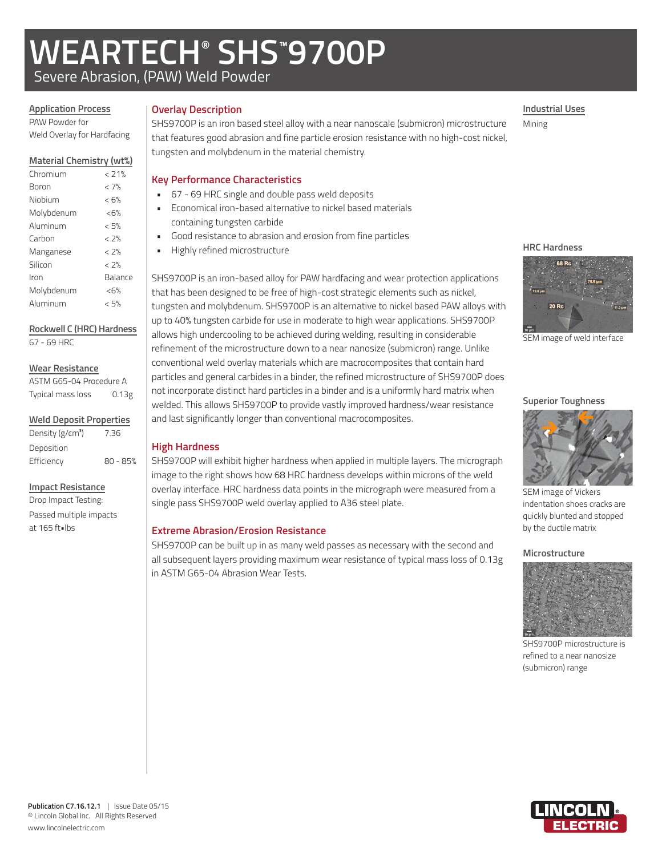# **WEARTECH® SHS™ 9700P**

Severe Abrasion, (PAW) Weld Powder

## **Overlay Description**

**High Hardness**

PAW Powder for Weld Overlay for Hardfacing

**Application Process**

## **Material Chemistry (wt%)**

| Chromium   | < 71%   |
|------------|---------|
| Boron      | < 7%    |
| Niobium    | < 6%    |
| Molybdenum | &5%     |
| Aluminum   | < 5%    |
| Carbon     | < 2%    |
| Manganese  | < 2%    |
| Silicon    | $< 7\%$ |
| Iron       | Balance |
| Molybdenum | &5%     |
| Aluminum   | < 5%    |
|            |         |

## **Rockwell C (HRC) Hardness**

67 - 69 HRC

### **Wear Resistance**

| ASTM G65-04 Procedure A |       |  |  |
|-------------------------|-------|--|--|
| Typical mass loss       | 0.13g |  |  |

| <b>Weld Deposit Properties</b> |  |
|--------------------------------|--|
|--------------------------------|--|

| Density (g/cm <sup>3</sup> ) | 7.36       |
|------------------------------|------------|
| Deposition                   |            |
| Efficiency                   | $80 - 85%$ |

### **Impact Resistance**

Drop Impact Testing: Passed multiple impacts at 165 ft•lbs

SHS9700P is an iron based steel alloy with a near nanoscale (submicron) microstructure that features good abrasion and fine particle erosion resistance with no high-cost nickel, tungsten and molybdenum in the material chemistry. Mining

## **Key Performance Characteristics**

- 67 69 HRC single and double pass weld deposits
- Economical iron-based alternative to nickel based materials containing tungsten carbide
- Good resistance to abrasion and erosion from fine particles

and last significantly longer than conventional macrocomposites.

single pass SHS9700P weld overlay applied to A36 steel plate.

**Extreme Abrasion/Erosion Resistance**

in ASTM G65-04 Abrasion Wear Tests.

SHS9700P is an iron-based alloy for PAW hardfacing and wear protection applications that has been designed to be free of high-cost strategic elements such as nickel, tungsten and molybdenum. SHS9700P is an alternative to nickel based PAW alloys with up to 40% tungsten carbide for use in moderate to high wear applications. SHS9700P allows high undercooling to be achieved during welding, resulting in considerable refinement of the microstructure down to a near nanosize (submicron) range. Unlike conventional weld overlay materials which are macrocomposites that contain hard particles and general carbides in a binder, the refined microstructure of SHS9700P does not incorporate distinct hard particles in a binder and is a uniformly hard matrix when welded. This allows SHS9700P to provide vastly improved hardness/wear resistance

SHS9700P will exhibit higher hardness when applied in multiple layers. The micrograph image to the right shows how 68 HRC hardness develops within microns of the weld overlay interface. HRC hardness data points in the micrograph were measured from a

SHS9700P can be built up in as many weld passes as necessary with the second and all subsequent layers providing maximum wear resistance of typical mass loss of 0.13g

• Highly refined microstructure

## **Industrial Uses**

## **HRC Hardness**



SEM image of weld interface

### **Superior Toughness**



SEM image of Vickers indentation shoes cracks are quickly blunted and stopped by the ductile matrix

## **Microstructure**



SHS9700P microstructure is refined to a near nanosize (submicron) range